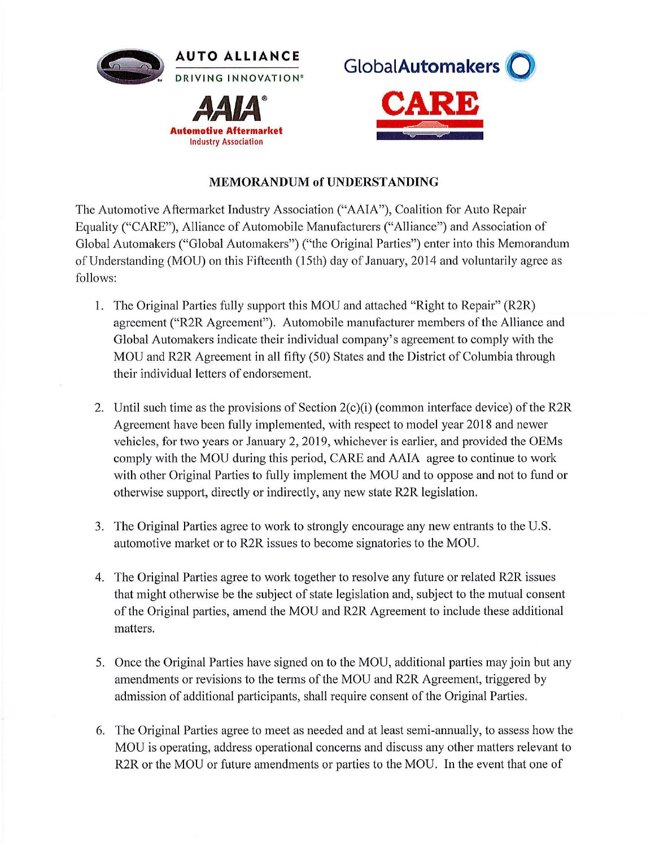



## **MEMORANDUM of UNDERSTANDING**

The Automotive Aftermarket Industry Association ("AAIA"), Coalition for Auto Repair Equality ("CARE"), Alliance of Automobile Manufacturers ("Alliance") and Association of Global Automakers ("Global Automakers") ("the Original Parties") enter into this Memorandum of Understanding (MOU) on this Fifteenth (15th) day of January, 2014 and voluntarily agree as follows:

- 1. The Original Parties fully support this MOU and attached "Right to Repair" (R2R) agreement ("R2R Agreement"). Automobile manufacturer members of the Alliance and Global Automakers indicate their individual company's agreement to comply with the MOU and R2R Agreement in all fifty (50) States and the District of Columbia through their individual letters of endorsement.
- 2. Until such time as the provisions of Section  $2(c)(i)$  (common interface device) of the R2R Agreement have been fully implemented, with respect to model year 2018 and newer vehicles, for two years or January 2, 2019, whichever is earlier, and provided the OEMs comply with the MOU during this period, CARE and AAIA agree to continue to work with other Original Parties to fully implement the MOU and to oppose and not to fund or otherwise support, directly or indirectly, any new state R2R legislation.
- 3. The Original Parties agree to work to strongly encourage any new entrants to the U.S. automotive market or to R2R issues to become signatories to the MOU.
- 4. The Original Parties agree to work together to resolve any future or related R2R issues that might otherwise be the subject of state legislation and, subject to the mutual consent of the Original parties, amend the MOU and R2R Agreement to include these additional matters.
- 5. Once the Original Patties have signed on to the MOU, additional parties may join but any amendments or revisions to the terms of the MOU and R2R Agreement, triggered by admission of additional participants, shall require consent of the Original Parties.
- 6. The Original Parties agree to meet as needed and at least semi-annually, to assess how the MOU is operating, address operational concerns and discuss any other matters relevant to R2R or the MOU or future amendments or parties to the MOU. In the event that one of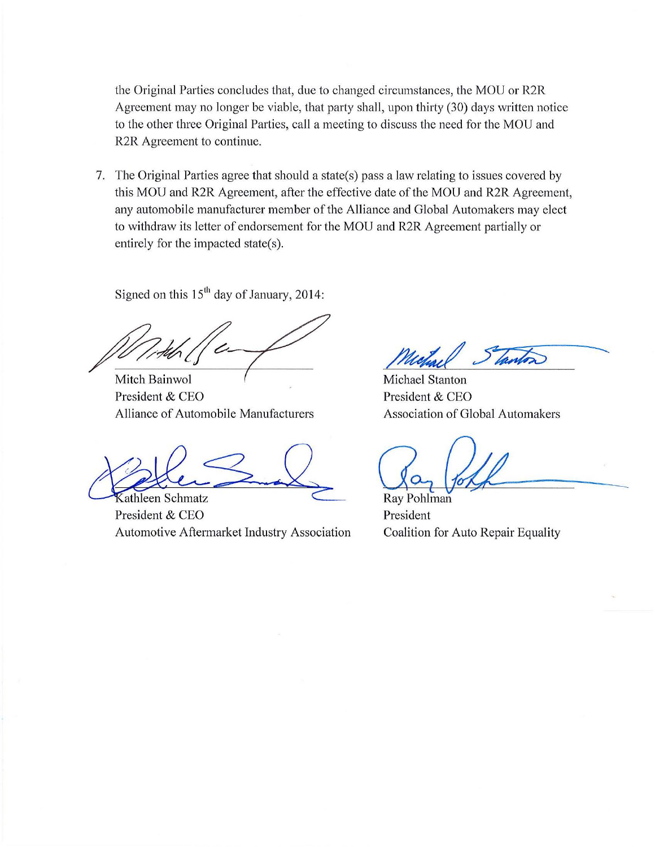the Original Parties concludes that, due to changed circumstances, the MOU or R2R Agreement may no longer be viable, that party shall, upon thirty (30) days written notice to the other three Original Parties, call a meeting to discuss the need for the MOU and R2R Agreement to continue.

7. The Original Parties agree that should a state(s) pass a law relating to issues covered by this MOU and R2R Agreement, after the effective date of the MOU and R2R Agreement, any automobile manufacturer member of the Alliance and Global Automakers may elect to withdraw its letter of endorsement for the MOU and R2R Agreement partially or entirely for the impacted state(s).

Signed on this  $15<sup>th</sup>$  day of January, 2014:

*h, 1,46 (C)* 

Mitch Bainwol President & CEO Alliance of Automobile Manufacturers

athleen Schmatz

President & CEO Automotive Aftermarket Industry Association

Michael

Michael Stanton President & CEO Association of Global Automakers

 $\mathbb{G}_{\alpha}$  foll

Ray Pohlman President Coalition for Auto Repair Equality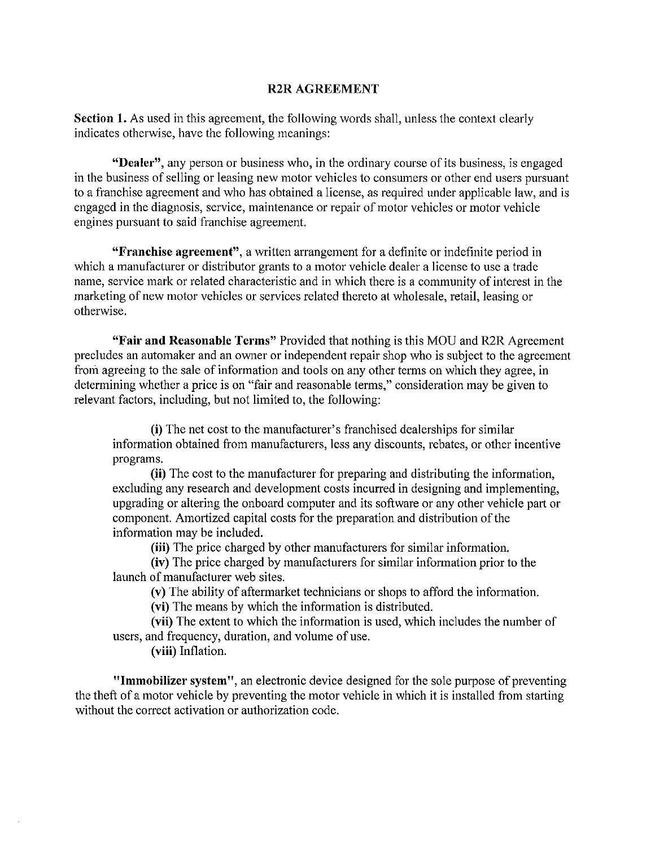## **R2R AGREEMENT**

**Section 1.** As used in this agreement, the following words shall, unless the context clearly indicates otherwise, have the following meanings:

**"Dealer",** any person or business who, in the ordinary course of its business, is engaged in the business of selling or leasing new motor vehicles to consumers or other end users pursuant to a franchise agreement and who has obtained a license, as required under applicable law, and is engaged in the diagnosis, service, maintenance or repair of motor vehicles or motor vehicle engines pursuant to said franchise agreement.

**"Franchise agreement'',** a written arrangement for a definite or indefinite period in which a manufacturer or distributor grants to a motor vehicle dealer a license to use a trade name, service mark or related characteristic and in which there is a community of interest in the marketing of new motor vehicles or services related thereto at wholesale, retail, leasing or otherwise.

**"Fair and Reasonable Terms"** Provided that nothing is this MOU and R2R Agreement precludes an automaker and an owner or independent repair shop who is subject to the agreement from agreeing to the sale of information and tools on any other terms on which they agree, in determining whether a price is on "fair and reasonable terms," consideration may be given to relevant factors, including, but not limited to, the following:

**(i)** The net cost to the manufacturer's franchised dealerships for similar information obtained from manufacturers, less any discounts, rebates, or other incentive programs.

**(ii)** The cost to the manufacturer for preparing and distributing the information, excluding any research and development costs incurred in designing and implementing, upgrading or altering the onboard computer and its software or any other vehicle part or component. Amortized capital costs for the preparation and distribution of the information may be included.

**(iii)** The price charged by other manufacturers for similar information.

**(iv)** The price charged by manufacturers for similar information prior to the launch of manufacturer web sites.

**(v)** The ability of aftermarket technicians or shops to afford the information.

**(vi)** The means by which the information is distributed.

**(vii)** The extent to which the information is used, which includes the number of users, and frequency, duration, and volume of use.

**(viii)** Inflation.

**"Immobilizer system",** an electronic device designed for the sole purpose of preventing the theft of a motor vehicle by preventing the motor vehicle in which it is installed from starting without the correct activation or authorization code.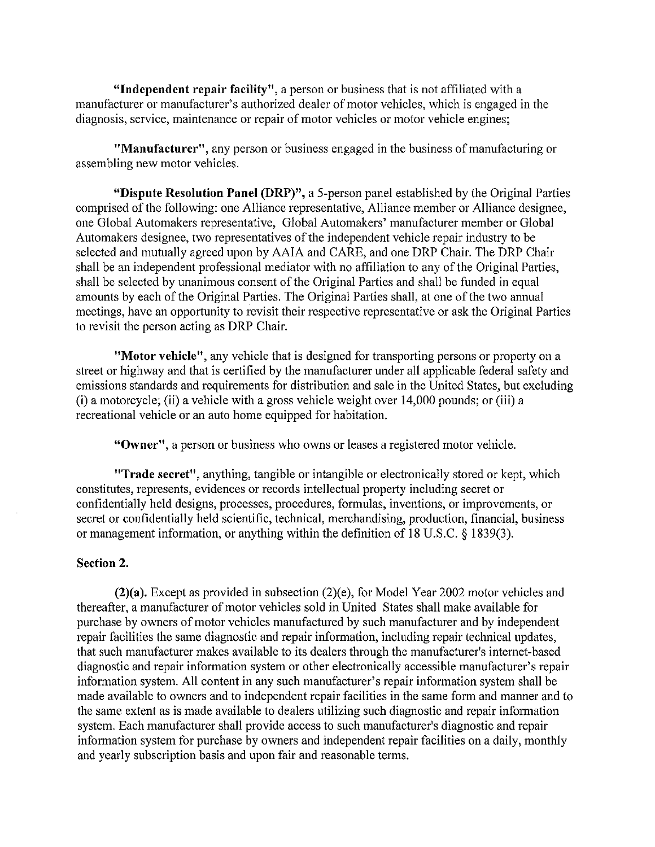**"Independent repair facility",** a person or business that is not affiliated with a manufacturer or manufacturer's authorized dealer of motor vehicles, which is engaged in the diagnosis, service, maintenance or repair of motor vehicles or motor vehicle engines;

**"Manufacturer",** any person or business engaged in the business of manufacturing or assembling new motor vehicles.

**"Dispute Resolution Panel (DRP)",** a 5-person panel established by the Original Parties comprised of the following: one Alliance representative, Alliance member or Alliance designee, one Global Automakers representative, Global Automakers' manufacturer member or Global Automakers designee, two representatives of the independent vehicle repair industry to be selected and mutually agreed upon by AAIA and CARE, and one DRP Chair. The DRP Chair shall be an independent professional mediator with no affiliation to any of the Original Parties, shall be selected by unanimous consent of the Original Parties and shall be funded in equal amounts by each of the Original Parties. The Original Parties shall, at one of the two annual meetings, have an opportunity to revisit their respective representative or ask the Original Parties to revisit the person acting as DRP Chair.

**"Motor vehicle",** any vehicle that is designed for transporting persons or property on a street or highway and that is certified by the manufacturer under all applicable federal safety and emissions standards and requirements for distribution and sale in the United States, but excluding (i) a motorcycle; (ii) a vehicle with a gross vehicle weight over 14,000 pounds; or (iii) a recreational vehicle or an auto home equipped for habitation.

**"Owner",** a person or business who owns or leases a registered motor vehicle.

**"Trade secret",** anything, tangible or intangible or electronically stored or kept, which constitutes, represents, evidences or records intellectual property including secret or confidentially held designs, processes, procedures, formulas, inventions, or improvements, or secret or confidentially held scientific, technical, merchandising, production, financial, business or management information, or anything within the definition of 18 U.S.C. § 1839(3).

## **Section 2.**

**(2)(a).** Except as provided in subsection (2)(e), for Model Year 2002 motor vehicles and thereafter, a manufacturer of motor vehicles sold in United States shall make available for purchase by owners of motor vehicles manufactured by such manufacturer and by independent repair facilities the same diagnostic and repair information, including repair technical updates, that such manufacturer makes available to its dealers through the manufacturer's internet-based diagnostic and repair information system or other electronically accessible manufacturer's repair information system. All content in any such manufacturer's repair information system shall be made available to owners and to independent repair facilities in the same form and manner and to the same extent as is made available to dealers utilizing such diagnostic and repair information system. Each manufacturer shall provide access to such manufacturer's diagnostic and repair information system for purchase by owners and independent repair facilities on a daily, monthly and yearly subscription basis and upon fair and reasonable terms.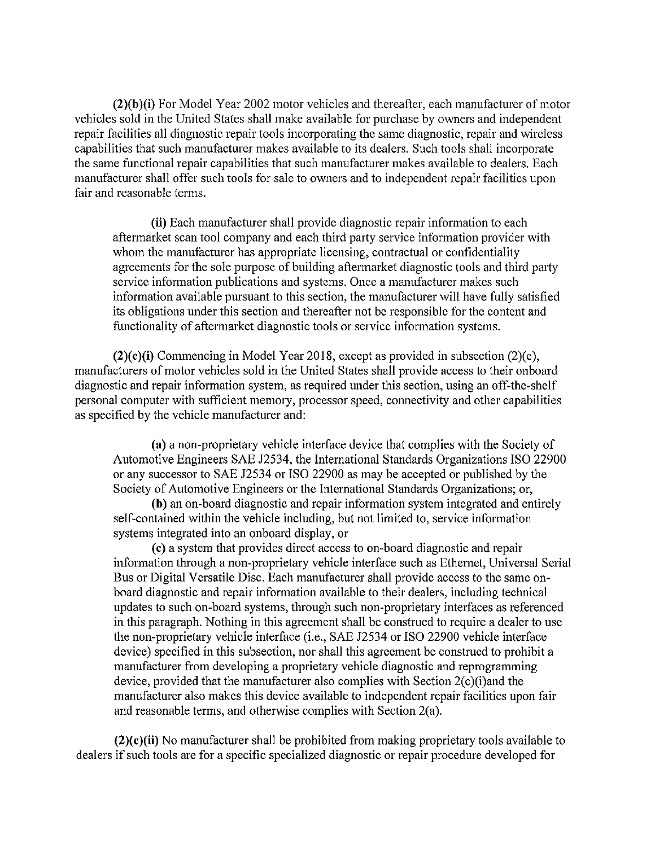**(2)(b)(i)** For Model Year 2002 motor vehicles and thereafter, each manufacturer of motor vehicles sold in the United States shall make available for purchase by owners and independent repair facilities all diagnostic repair tools incorporating the same diagnostic, repair and wireless capabilities that such manufacturer makes available to its dealers. Such tools shall incorporate the same functional repair capabilities that such manufacturer makes available to dealers. Each manufacturer shall offer such tools for sale to owners and to independent repair facilities upon fair and reasonable terms.

**(ii)** Each manufacturer shall provide diagnostic repair information to each aftermarket scan tool company and each third party service information provider with whom the manufacturer has appropriate licensing, contractual or confidentiality agreements for the sole purpose of building aftermarket diagnostic tools and third party service information publications and systems. Once a manufacturer makes such information available pursuant to this section, the manufacturer will have fully satisfied its obligations under this section and thereafter not be responsible for the content and functionality of aftermarket diagnostic tools or service information systems.

**(2)(c)(i)** Commencing in Model Year 2018, except as provided in subsection (2)(e), manufacturers of motor vehicles sold in the United States shall provide access to their onboard diagnostic and repair information system, as required under this section, using an off-the-shelf personal computer with sufficient memory, processor speed, connectivity and other capabilities as specified by the vehicle manufacturer and:

(a) a non-proprietary vehicle interface device that complies with the Society of Automotive Engineers SAE J2534, the International Standards Organizations ISO 22900 or any successor to SAE J2534 or ISO 22900 as may be accepted or published by the Society of Automotive Engineers or the International Standards Organizations; or,

**(b)** an on-board diagnostic and repair information system integrated and entirely self-contained within the vehicle including, but not limited to, service information systems integrated into an onboard display, or

(c) a system that provides direct access to on-board diagnostic and repair information through a non-proprietary vehicle interface such as Ethernet, Universal Serial Bus or Digital Versatile Disc. Each manufacturer shall provide access to the same onboard diagnostic and repair information available to their dealers, including technical updates to such on-board systems, through such non-proprietary interfaces as referenced in this paragraph. Nothing in this agreement shall be construed to require a dealer to use the non-proprietary vehicle interface (i.e., SAE J2534 or ISO 22900 vehicle interface device) specified in this subsection, nor shall this agreement be construed to prohibit a manufacturer from developing a proprietary vehicle diagnostic and reprogramming device, provided that the manufacturer also complies with Section  $2(c)(i)$  and the manufacturer also makes this device available to independent repair facilities upon fair and reasonable terms, and otherwise complies with Section 2(a).

**(2)(c)(ii)** No manufacturer shall be prohibited from making proprietary tools available to dealers if such tools are for a specific specialized diagnostic or repair procedure developed for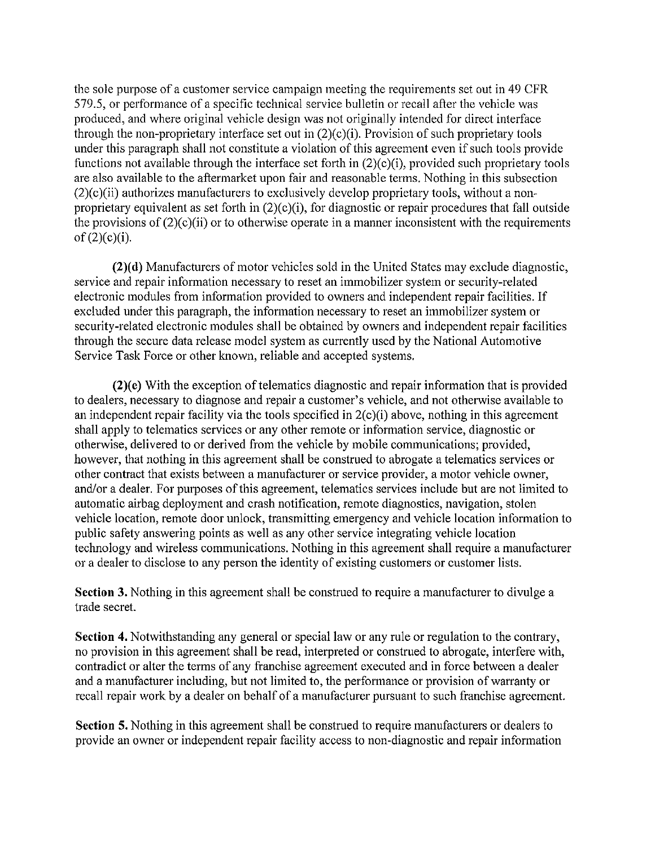the sole purpose of a customer service campaign meeting the requirements set out in 49 CFR 579.5, or performance of a specific technical service bulletin or recall after the vehicle was produced, and where original vehicle design was not originally intended for direct interface through the non-proprietary interface set out in  $(2)(c)(i)$ . Provision of such proprietary tools under this paragraph shall not constitute a violation of this agreement even if such tools provide functions not available through the interface set forth in  $(2)(c)(i)$ , provided such proprietary tools are also available to the aftermarket upon fair and reasonable terms. Nothing in this subsection  $(2)(c)(ii)$  authorizes manufacturers to exclusively develop proprietary tools, without a nonproprietary equivalent as set forth in  $(2)(c)(i)$ , for diagnostic or repair procedures that fall outside the provisions of  $(2)(c)(ii)$  or to otherwise operate in a manner inconsistent with the requirements  $of (2)(c)(i).$ 

(2)( **d)** Manufacturers of motor vehicles sold in the United States may exclude diagnostic, service and repair information necessary to reset an immobilizer system or security-related electronic modules from information provided to owners and independent repair facilities. If excluded under this paragraph, the information necessary to reset an immobilizer system or security-related electronic modules shall be obtained by owners and independent repair facilities through the secure data release model system as currently used by the National Automotive Service Task Force or other known, reliable and accepted systems.

 $(2)(e)$  With the exception of telematics diagnostic and repair information that is provided to dealers, necessary to diagnose and repair a customer's vehicle, and not otherwise available to an independent repair facility via the tools specified in  $2(c)(i)$  above, nothing in this agreement shall apply to telematics services or any other remote or information service, diagnostic or otherwise, delivered to or derived from the vehicle by mobile communications; provided, however, that nothing in this agreement shall be construed to abrogate a telematics services or other contract that exists between a manufacturer or service provider, a motor vehicle owner, and/or a dealer. For purposes of this agreement, telematics services include but are not limited to automatic airbag deployment and crash notification, remote diagnostics, navigation, stolen vehicle location, remote door unlock, transmitting emergency and vehicle location information to public safety answering points as well as any other service integrating vehicle location technology and wireless communications. Nothing in this agreement shall require a manufacturer or a dealer to disclose to any person the identity of existing customers or customer lists.

**Section** 3. Nothing in this agreement shall be construed to require a manufacturer to divulge a trade secret.

**Section 4.** Notwithstanding any general or special law or any rule or regulation to the contrary, no provision in this agreement shall be read, interpreted or construed to abrogate, interfere with, contradict or alter the terms of any franchise agreement executed and in force between a dealer and a manufacturer including, but not limited to, the performance or provision of warranty or recall repair work by a dealer on behalf of a manufacturer pursuant to such franchise agreement.

**Section 5.** Nothing in this agreement shall be construed to require manufacturers or dealers to provide an owner or independent repair facility access to non-diagnostic and repair information